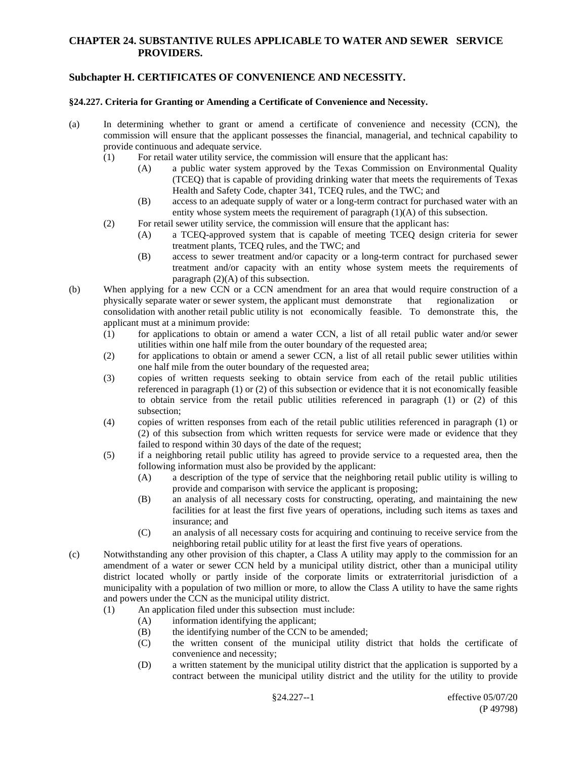# **Subchapter H. CERTIFICATES OF CONVENIENCE AND NECESSITY.**

#### **§24.227. Criteria for Granting or Amending a Certificate of Convenience and Necessity.**

- (a) In determining whether to grant or amend a certificate of convenience and necessity (CCN), the commission will ensure that the applicant possesses the financial, managerial, and technical capability to provide continuous and adequate service.
	- (1) For retail water utility service, the commission will ensure that the applicant has:
		- (A) a public water system approved by the Texas Commission on Environmental Quality (TCEQ) that is capable of providing drinking water that meets the requirements of Texas Health and Safety Code, chapter 341, TCEQ rules, and the TWC; and
		- (B) access to an adequate supply of water or a long-term contract for purchased water with an entity whose system meets the requirement of paragraph (1)(A) of this subsection.
	- (2) For retail sewer utility service, the commission will ensure that the applicant has:
		- (A) a TCEQ-approved system that is capable of meeting TCEQ design criteria for sewer treatment plants, TCEQ rules, and the TWC; and
		- (B) access to sewer treatment and/or capacity or a long-term contract for purchased sewer treatment and/or capacity with an entity whose system meets the requirements of paragraph  $(2)(A)$  of this subsection.
- (b) When applying for a new CCN or a CCN amendment for an area that would require construction of a physically separate water or sewer system, the applicant must demonstrate that regionalization or consolidation with another retail public utility is not economically feasible. To demonstrate this, the applicant must at a minimum provide:
	- (1) for applications to obtain or amend a water CCN, a list of all retail public water and/or sewer utilities within one half mile from the outer boundary of the requested area;
	- (2) for applications to obtain or amend a sewer CCN, a list of all retail public sewer utilities within one half mile from the outer boundary of the requested area;
	- (3) copies of written requests seeking to obtain service from each of the retail public utilities referenced in paragraph (1) or (2) of this subsection or evidence that it is not economically feasible to obtain service from the retail public utilities referenced in paragraph (1) or (2) of this subsection;
	- (4) copies of written responses from each of the retail public utilities referenced in paragraph (1) or (2) of this subsection from which written requests for service were made or evidence that they failed to respond within 30 days of the date of the request;
	- (5) if a neighboring retail public utility has agreed to provide service to a requested area, then the following information must also be provided by the applicant:
		- (A) a description of the type of service that the neighboring retail public utility is willing to provide and comparison with service the applicant is proposing;
		- (B) an analysis of all necessary costs for constructing, operating, and maintaining the new facilities for at least the first five years of operations, including such items as taxes and insurance; and
		- (C) an analysis of all necessary costs for acquiring and continuing to receive service from the neighboring retail public utility for at least the first five years of operations.
- (c) Notwithstanding any other provision of this chapter, a Class A utility may apply to the commission for an amendment of a water or sewer CCN held by a municipal utility district, other than a municipal utility district located wholly or partly inside of the corporate limits or extraterritorial jurisdiction of a municipality with a population of two million or more, to allow the Class A utility to have the same rights and powers under the CCN as the municipal utility district.
	- (1) An application filed under this subsection must include:
		- (A) information identifying the applicant;
		- (B) the identifying number of the CCN to be amended;
		- (C) the written consent of the municipal utility district that holds the certificate of convenience and necessity;
		- (D) a written statement by the municipal utility district that the application is supported by a contract between the municipal utility district and the utility for the utility to provide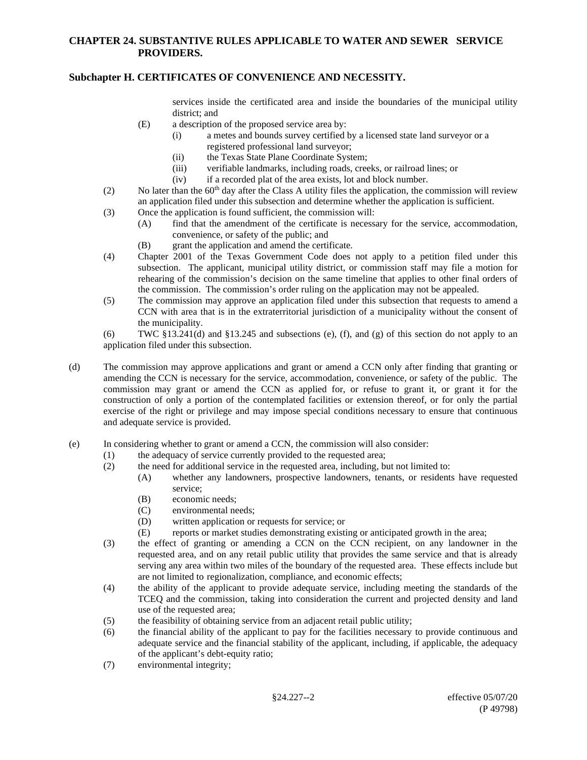# **Subchapter H. CERTIFICATES OF CONVENIENCE AND NECESSITY.**

services inside the certificated area and inside the boundaries of the municipal utility district; and

- (E) a description of the proposed service area by:
	- (i) a metes and bounds survey certified by a licensed state land surveyor or a registered professional land surveyor;
	- (ii) the Texas State Plane Coordinate System;<br>(iii) verifiable landmarks, including roads, cree
	- verifiable landmarks, including roads, creeks, or railroad lines; or
	- (iv) if a recorded plat of the area exists, lot and block number.
- (2) No later than the  $60<sup>th</sup>$  day after the Class A utility files the application, the commission will review an application filed under this subsection and determine whether the application is sufficient.
- (3) Once the application is found sufficient, the commission will:
	- (A) find that the amendment of the certificate is necessary for the service, accommodation, convenience, or safety of the public; and
	- (B) grant the application and amend the certificate.
- (4) Chapter 2001 of the Texas Government Code does not apply to a petition filed under this subsection. The applicant, municipal utility district, or commission staff may file a motion for rehearing of the commission's decision on the same timeline that applies to other final orders of the commission. The commission's order ruling on the application may not be appealed.
- (5) The commission may approve an application filed under this subsection that requests to amend a CCN with area that is in the extraterritorial jurisdiction of a municipality without the consent of the municipality.

(6) TWC  $$13.241$ (d) and  $$13.245$  and subsections (e), (f), and (g) of this section do not apply to an application filed under this subsection.

- (d) The commission may approve applications and grant or amend a CCN only after finding that granting or amending the CCN is necessary for the service, accommodation, convenience, or safety of the public. The commission may grant or amend the CCN as applied for, or refuse to grant it, or grant it for the construction of only a portion of the contemplated facilities or extension thereof, or for only the partial exercise of the right or privilege and may impose special conditions necessary to ensure that continuous and adequate service is provided.
- (e) In considering whether to grant or amend a CCN, the commission will also consider:
	- (1) the adequacy of service currently provided to the requested area;
	- (2) the need for additional service in the requested area, including, but not limited to:
		- (A) whether any landowners, prospective landowners, tenants, or residents have requested service;
		- (B) economic needs;
		- (C) environmental needs;
		- (D) written application or requests for service; or
		- (E) reports or market studies demonstrating existing or anticipated growth in the area;
	- (3) the effect of granting or amending a CCN on the CCN recipient, on any landowner in the requested area, and on any retail public utility that provides the same service and that is already serving any area within two miles of the boundary of the requested area. These effects include but are not limited to regionalization, compliance, and economic effects;
	- (4) the ability of the applicant to provide adequate service, including meeting the standards of the TCEQ and the commission, taking into consideration the current and projected density and land use of the requested area;
	- (5) the feasibility of obtaining service from an adjacent retail public utility;
	- (6) the financial ability of the applicant to pay for the facilities necessary to provide continuous and adequate service and the financial stability of the applicant, including, if applicable, the adequacy of the applicant's debt-equity ratio;
	- (7) environmental integrity;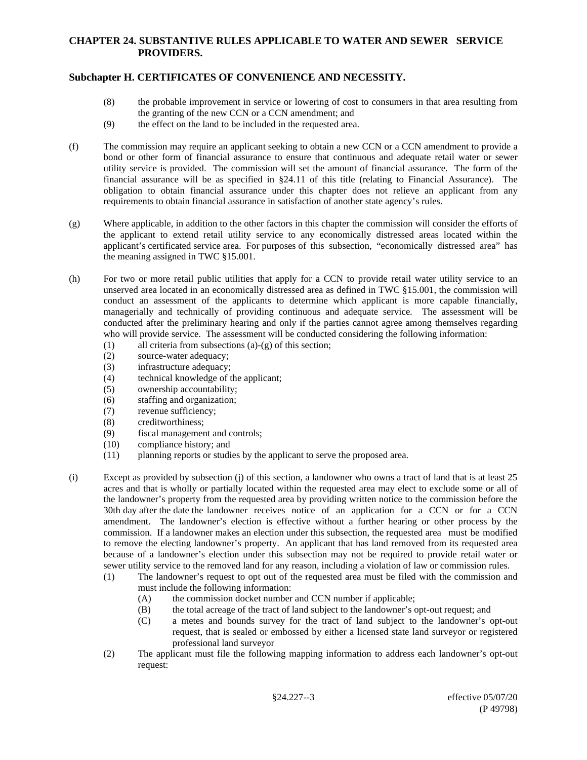# **Subchapter H. CERTIFICATES OF CONVENIENCE AND NECESSITY.**

- (8) the probable improvement in service or lowering of cost to consumers in that area resulting from the granting of the new CCN or a CCN amendment; and
- (9) the effect on the land to be included in the requested area.
- (f) The commission may require an applicant seeking to obtain a new CCN or a CCN amendment to provide a bond or other form of financial assurance to ensure that continuous and adequate retail water or sewer utility service is provided. The commission will set the amount of financial assurance. The form of the financial assurance will be as specified in §24.11 of this title (relating to Financial Assurance). The obligation to obtain financial assurance under this chapter does not relieve an applicant from any requirements to obtain financial assurance in satisfaction of another state agency's rules.
- (g) Where applicable, in addition to the other factors in this chapter the commission will consider the efforts of the applicant to extend retail utility service to any economically distressed areas located within the applicant's certificated service area. For purposes of this subsection, "economically distressed area" has the meaning assigned in TWC §15.001.
- (h) For two or more retail public utilities that apply for a CCN to provide retail water utility service to an unserved area located in an economically distressed area as defined in TWC §15.001, the commission will conduct an assessment of the applicants to determine which applicant is more capable financially, managerially and technically of providing continuous and adequate service. The assessment will be conducted after the preliminary hearing and only if the parties cannot agree among themselves regarding who will provide service. The assessment will be conducted considering the following information:
	- (1) all criteria from subsections (a)-(g) of this section;
	- (2) source-water adequacy;
	- (3) infrastructure adequacy;
	- (4) technical knowledge of the applicant;
	- (5) ownership accountability;
	- (6) staffing and organization;
	- (7) revenue sufficiency;
	- (8) creditworthiness;
	- (9) fiscal management and controls;
	- (10) compliance history; and
	- (11) planning reports or studies by the applicant to serve the proposed area.
- (i) Except as provided by subsection (j) of this section, a landowner who owns a tract of land that is at least 25 acres and that is wholly or partially located within the requested area may elect to exclude some or all of the landowner's property from the requested area by providing written notice to the commission before the 30th day after the date the landowner receives notice of an application for a CCN or for a CCN amendment. The landowner's election is effective without a further hearing or other process by the commission. If a landowner makes an election under this subsection, the requested area must be modified to remove the electing landowner's property. An applicant that has land removed from its requested area because of a landowner's election under this subsection may not be required to provide retail water or sewer utility service to the removed land for any reason, including a violation of law or commission rules.
	- (1) The landowner's request to opt out of the requested area must be filed with the commission and must include the following information:
		- (A) the commission docket number and CCN number if applicable;
		- (B) the total acreage of the tract of land subject to the landowner's opt-out request; and
		- (C) a metes and bounds survey for the tract of land subject to the landowner's opt-out request, that is sealed or embossed by either a licensed state land surveyor or registered professional land surveyor
	- (2) The applicant must file the following mapping information to address each landowner's opt-out request: